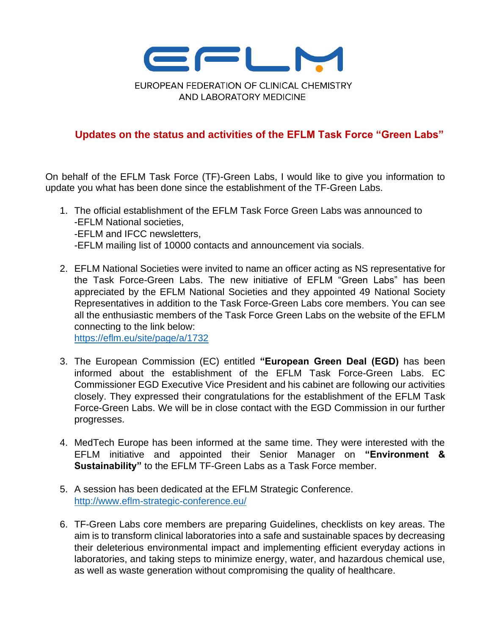

## **Updates on the status and activities of the EFLM Task Force "Green Labs"**

On behalf of the EFLM Task Force (TF)-Green Labs, I would like to give you information to update you what has been done since the establishment of the TF-Green Labs.

- 1. The official establishment of the EFLM Task Force Green Labs was announced to -EFLM National societies, -EFLM and IFCC newsletters, -EFLM mailing list of 10000 contacts and announcement via socials.
- 2. EFLM National Societies were invited to name an officer acting as NS representative for the Task Force-Green Labs. The new initiative of EFLM "Green Labs" has been appreciated by the EFLM National Societies and they appointed 49 National Society Representatives in addition to the Task Force-Green Labs core members. You can see all the enthusiastic members of the Task Force Green Labs on the website of the EFLM connecting to the link below:

<https://eflm.eu/site/page/a/1732>

- 3. The European Commission (EC) entitled **"European Green Deal (EGD)** has been informed about the establishment of the EFLM Task Force-Green Labs. EC Commissioner EGD Executive Vice President and his cabinet are following our activities closely. They expressed their congratulations for the establishment of the EFLM Task Force-Green Labs. We will be in close contact with the EGD Commission in our further progresses.
- 4. MedTech Europe has been informed at the same time. They were interested with the EFLM initiative and appointed their Senior Manager on **"Environment & Sustainability"** to the EFLM TF-Green Labs as a Task Force member.
- 5. A session has been dedicated at the EFLM Strategic Conference. <http://www.eflm-strategic-conference.eu/>
- 6. TF-Green Labs core members are preparing Guidelines, checklists on key areas. The aim is to transform clinical laboratories into a safe and sustainable spaces by decreasing their deleterious environmental impact and implementing efficient everyday actions in laboratories, and taking steps to minimize energy, water, and hazardous chemical use, as well as waste generation without compromising the quality of healthcare.